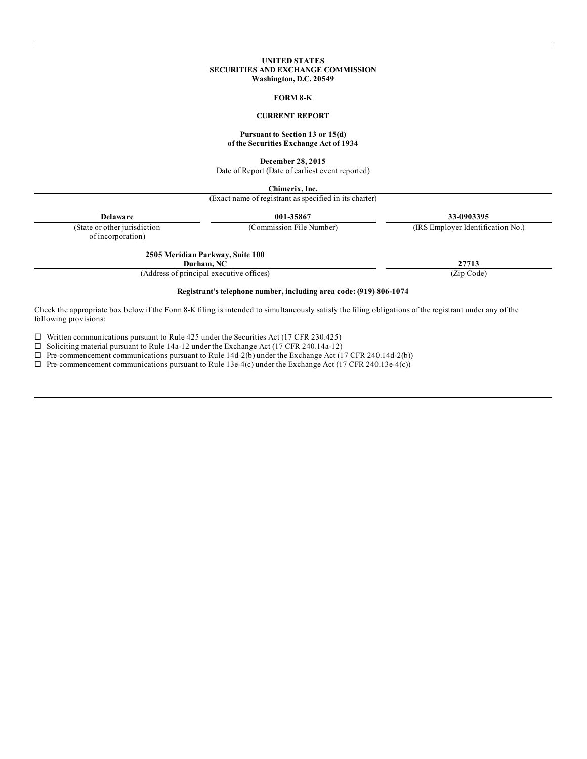### **UNITED STATES SECURITIES AND EXCHANGE COMMISSION Washington, D.C. 20549**

### **FORM 8-K**

## **CURRENT REPORT**

### **Pursuant to Section 13 or 15(d) of the Securities Exchange Act of 1934**

**December 28, 2015**

Date of Report (Date of earliest event reported)

**Chimerix, Inc.**

(Exact name of registrant as specified in its charter)

**Delaware 001-35867 33-0903395**

(State or other jurisdiction (Commission File Number) (IRS Employer Identification No.)

of incorporation)

#### **2505 Meridian Parkway, Suite 100 Durham, NC 27713**

(Address of principal executive offices) (Zip Code)

## **Registrant's telephone number, including area code: (919) 806-1074**

Check the appropriate box below if the Form 8-K filing is intended to simultaneously satisfy the filing obligations of the registrant under any of the following provisions:

 $\square$  Written communications pursuant to Rule 425 under the Securities Act (17 CFR 230.425)

 $\Box$  Soliciting material pursuant to Rule 14a-12 under the Exchange Act (17 CFR 240.14a-12)

 $\Box$  Pre-commencement communications pursuant to Rule 14d-2(b) under the Exchange Act (17 CFR 240.14d-2(b))

 $\Box$  Pre-commencement communications pursuant to Rule 13e-4(c) under the Exchange Act (17 CFR 240.13e-4(c))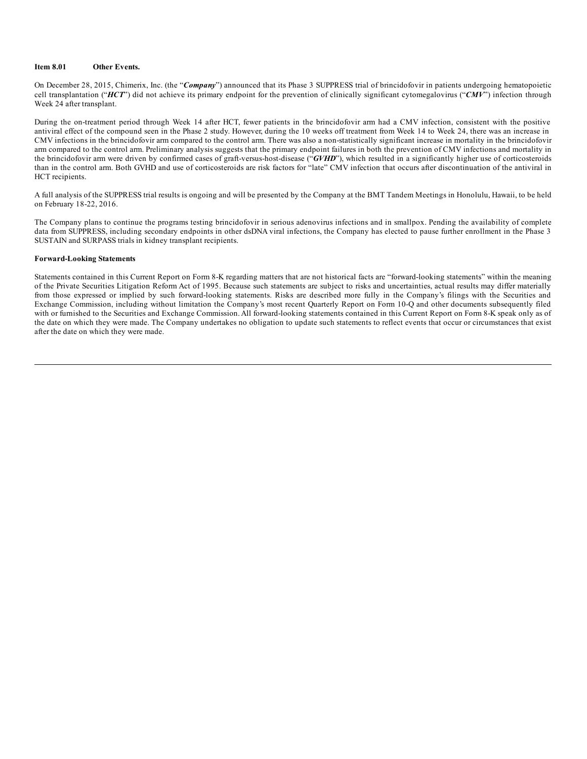## **Item 8.01 Other Events.**

On December 28, 2015, Chimerix, Inc. (the "*Company*") announced that its Phase 3 SUPPRESS trial of brincidofovir in patients undergoing hematopoietic cell transplantation ("*HCT*") did not achieve its primary endpoint for the prevention of clinically significant cytomegalovirus ("*CMV*") infection through Week 24 after transplant.

During the on-treatment period through Week 14 after HCT, fewer patients in the brincidofovir arm had a CMV infection, consistent with the positive antiviral effect of the compound seen in the Phase 2 study. However, during the 10 weeks off treatment from Week 14 to Week 24, there was an increase in CMV infections in the brincidofovir arm compared to the control arm. There was also a non-statistically significant increase in mortality in the brincidofovir arm compared to the control arm. Preliminary analysis suggests that the primary endpoint failures in both the prevention of CMV infections and mortality in the brincidofovir arm were driven by confirmed cases of graft-versus-host-disease ("*GVHD*"), which resulted in a significantly higher use of corticosteroids than in the control arm. Both GVHD and use of corticosteroids are risk factors for "late" CMV infection that occurs after discontinuation of the antiviral in HCT recipients.

A full analysis of the SUPPRESS trial results is ongoing and will be presented by the Company at the BMT Tandem Meetings in Honolulu, Hawaii, to be held on February 18-22, 2016.

The Company plans to continue the programs testing brincidofovir in serious adenovirus infections and in smallpox. Pending the availability of complete data from SUPPRESS, including secondary endpoints in other dsDNA viral infections, the Company has elected to pause further enrollment in the Phase 3 SUSTAIN and SURPASS trials in kidney transplant recipients.

#### **Forward-Looking Statements**

Statements contained in this Current Report on Form 8-K regarding matters that are not historical facts are "forward-looking statements" within the meaning of the Private Securities Litigation Reform Act of 1995. Because such statements are subject to risks and uncertainties, actual results may differ materially from those expressed or implied by such forward-looking statements. Risks are described more fully in the Company's filings with the Securities and Exchange Commission, including without limitation the Company's most recent Quarterly Report on Form 10-Q and other documents subsequently filed with or furnished to the Securities and Exchange Commission. All forward-looking statements contained in this Current Report on Form 8-K speak only as of the date on which they were made. The Company undertakes no obligation to update such statements to reflect events that occur or circumstances that exist after the date on which they were made.